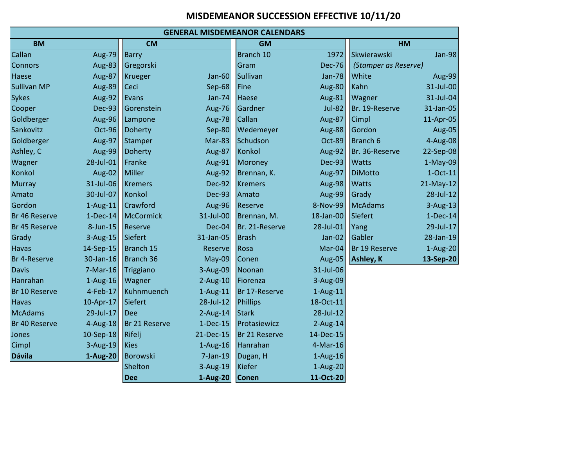## **MISDEMEANOR SUCCESSION EFFECTIVE 10/11/20**

| <b>GENERAL MISDEMEANOR CALENDARS</b> |               |                        |               |                 |               |                      |               |  |  |
|--------------------------------------|---------------|------------------------|---------------|-----------------|---------------|----------------------|---------------|--|--|
| <b>BM</b>                            |               | <b>CM</b><br><b>GM</b> |               | HM              |               |                      |               |  |  |
| Callan                               | Aug-79        | <b>Barry</b>           |               | Branch 10       | 1972          | Skwierawski          | Jan-98        |  |  |
| <b>Connors</b>                       | Aug-83        | Gregorski              |               | Gram            | <b>Dec-76</b> | (Stamper as Reserve) |               |  |  |
| Haese                                | Aug-87        | <b>Krueger</b>         | Jan- $60$     | <b>Sullivan</b> | Jan-78        | <b>White</b>         | Aug-99        |  |  |
| <b>Sullivan MP</b>                   | <b>Aug-89</b> | Ceci                   | Sep-68        | Fine            | <b>Aug-80</b> | Kahn                 | 31-Jul-00     |  |  |
| <b>Sykes</b>                         | Aug-92        | Evans                  | Jan-74        | Haese           | Aug-81        | Wagner               | 31-Jul-04     |  |  |
| Cooper                               | <b>Dec-93</b> | Gorenstein             | Aug-76        | Gardner         | Jul-82        | Br. 19-Reserve       | 31-Jan-05     |  |  |
| Goldberger                           | Aug-96        | Lampone                | Aug-78        | Callan          | Aug-87        | <b>Cimpl</b>         | 11-Apr-05     |  |  |
| Sankovitz                            | $Oct-96$      | Doherty                | Sep-80        | Wedemeyer       | Aug-88        | Gordon               | <b>Aug-05</b> |  |  |
| Goldberger                           | Aug-97        | Stamper                | $Mar-83$      | Schudson        | Oct-89        | Branch 6             | 4-Aug-08      |  |  |
| Ashley, C                            | Aug-99        | Doherty                | <b>Aug-87</b> | Konkol          | Aug-92        | Br. 36-Reserve       | 22-Sep-08     |  |  |
| Wagner                               | 28-Jul-01     | Franke                 | Aug-91        | Moroney         | $Dec-93$      | <b>Watts</b>         | $1-May-09$    |  |  |
| Konkol                               | Aug-02        | Miller                 | Aug-92        | Brennan, K.     | Aug-97        | <b>DiMotto</b>       | $1-Oct-11$    |  |  |
| <b>Murray</b>                        | 31-Jul-06     | <b>Kremers</b>         | Dec-92        | <b>Kremers</b>  | Aug-98        | <b>Watts</b>         | $21$ -May-12  |  |  |
| Amato                                | 30-Jul-07     | Konkol                 | Dec-93        | Amato           | Aug-99        | Grady                | 28-Jul-12     |  |  |
| Gordon                               | $1$ -Aug-11   | Crawford               | Aug-96        | Reserve         | 8-Nov-99      | McAdams              | $3-Aug-13$    |  |  |
| Br 46 Reserve                        | $1-Dec-14$    | <b>McCormick</b>       | 31-Jul-00     | Brennan, M.     | 18-Jan-00     | Siefert              | $1-Dec-14$    |  |  |
| Br 45 Reserve                        | 8-Jun-15      | <b>Reserve</b>         | $Dec-04$      | Br. 21-Reserve  | 28-Jul-01     | Yang                 | 29-Jul-17     |  |  |
| Grady                                | $3$ -Aug-15   | Siefert                | 31-Jan-05     | <b>Brash</b>    | Jan-02        | Gabler               | 28-Jan-19     |  |  |
| <b>Havas</b>                         | 14-Sep-15     | Branch 15              | Reserve       | Rosa            | $Mar-04$      | Br 19 Reserve        | $1-Aug-20$    |  |  |
| Br 4-Reserve                         | 30-Jan-16     | Branch 36              | $May-09$      | Conen           | Aug-05        | Ashley, K            | 13-Sep-20     |  |  |
| <b>Davis</b>                         | $7-Mar-16$    | Triggiano              | 3-Aug-09      | Noonan          | 31-Jul-06     |                      |               |  |  |
| Hanrahan                             | $1-Aug-16$    | Wagner                 | $2$ -Aug-10   | Fiorenza        | 3-Aug-09      |                      |               |  |  |
| Br 10 Reserve                        | 4-Feb-17      | Kuhnmuench             | $1-Aug-11$    | Br 17-Reserve   | $1-Aug-11$    |                      |               |  |  |
| <b>Havas</b>                         | 10-Apr-17     | Siefert                | 28-Jul-12     | <b>Phillips</b> | 18-Oct-11     |                      |               |  |  |
| <b>McAdams</b>                       | 29-Jul-17     | Dee                    | $2$ -Aug-14   | <b>Stark</b>    | 28-Jul-12     |                      |               |  |  |
| Br 40 Reserve                        | 4-Aug-18      | Br 21 Reserve          | $1-Dec-15$    | Protasiewicz    | $2$ -Aug-14   |                      |               |  |  |
| Jones                                | $10-Sep-18$   | Rifelj                 | 21-Dec-15     | Br 21 Reserve   | 14-Dec-15     |                      |               |  |  |
| Cimpl                                | $3-Aug-19$    | <b>Kies</b>            | $1-Aug-16$    | Hanrahan        | 4-Mar-16      |                      |               |  |  |
| <b>Dávila</b>                        | 1-Aug-20      | Borowski               | $7$ -Jan-19   | Dugan, H        | $1-Aug-16$    |                      |               |  |  |
|                                      |               | Shelton                | 3-Aug-19      | Kiefer          | $1-Aug-20$    |                      |               |  |  |
|                                      |               | <b>Dee</b>             | $1-Aug-20$    | <b>Conen</b>    | 11-Oct-20     |                      |               |  |  |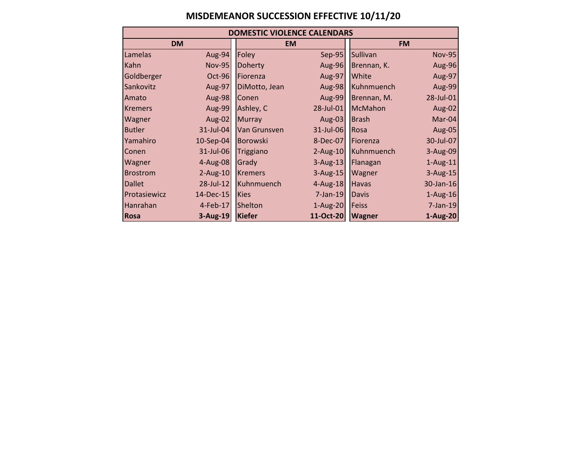## **MISDEMEANOR SUCCESSION EFFECTIVE 10/11/20**

| <b>DOMESTIC VIOLENCE CALENDARS</b> |               |                 |              |                  |               |  |  |
|------------------------------------|---------------|-----------------|--------------|------------------|---------------|--|--|
| <b>DM</b>                          |               | <b>EM</b>       |              |                  | <b>FM</b>     |  |  |
| Lamelas                            | Aug-94        | Foley           | Sep-95       | <b>Sullivan</b>  | <b>Nov-95</b> |  |  |
| Kahn                               | <b>Nov-95</b> | Doherty         | Aug-96       | Brennan, K.      | Aug-96        |  |  |
| Goldberger                         | $Oct-96$      | Fiorenza        | Aug-97       | White            | Aug-97        |  |  |
| Sankovitz                          | Aug-97        | DiMotto, Jean   | Aug-98       | Kuhnmuench       | Aug-99        |  |  |
| Amato                              | Aug-98        | Conen           | Aug-99       | Brennan, M.      | 28-Jul-01     |  |  |
| <b>Kremers</b>                     | Aug-99        | Ashley, C       | 28-Jul-01    | McMahon          | Aug-02        |  |  |
| Wagner                             | Aug-02        | <b>Murray</b>   | Aug-03       | <b>Brash</b>     | $Mar-04$      |  |  |
| <b>Butler</b>                      | 31-Jul-04     | Van Grunsven    | 31-Jul-06    | Rosa             | Aug-05        |  |  |
| Yamahiro                           | $10-$ Sep-04  | <b>Borowski</b> | 8-Dec-07     | <b>IFiorenza</b> | 30-Jul-07     |  |  |
| Conen                              | 31-Jul-06     | Triggiano       | $2$ -Aug-10  | Kuhnmuench       | 3-Aug-09      |  |  |
| Wagner                             | $4 - Aug-08$  | Grady           | $3$ -Aug-13  | Flanagan         | $1$ -Aug-11   |  |  |
| <b>Brostrom</b>                    | $2-Aug-10$    | <b>Kremers</b>  | $3$ -Aug-15  | Wagner           | $3$ -Aug-15   |  |  |
| <b>Dallet</b>                      | 28-Jul-12     | Kuhnmuench      | $4 - Aug-18$ | Havas            | 30-Jan-16     |  |  |
| Protasiewicz                       | 14-Dec-15     | <b>Kies</b>     | $7$ -Jan-19  | Davis            | $1-Aug-16$    |  |  |
| Hanrahan                           | $4$ -Feb-17   | Shelton         | 1-Aug-20     | Feiss            | $7$ -Jan-19   |  |  |
| <b>Rosa</b>                        | 3-Aug-19      | <b>Kiefer</b>   | 11-Oct-20    | <b>Wagner</b>    | 1-Aug-20      |  |  |